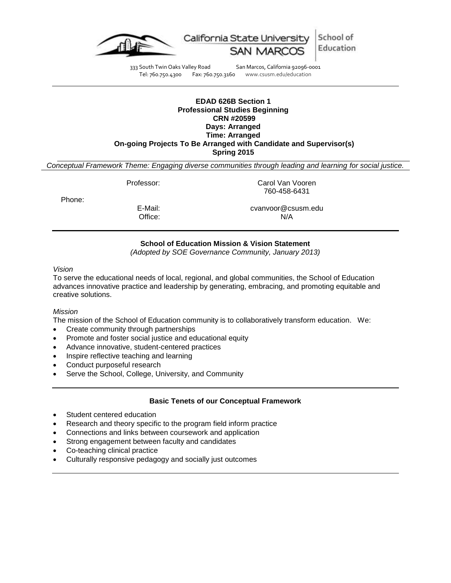

333 South Twin Oaks Valley Road San Marcos, California 92096-0001<br>Tel: 760.750.4300 Fax: 760.750.3160 www.csusm.edu/education

www.csusm.edu/education

### **EDAD 626B Section 1 Professional Studies Beginning CRN #20599 Days: Arranged Time: Arranged On-going Projects To Be Arranged with Candidate and Supervisor(s) Spring 2015**

*Conceptual Framework Theme: Engaging diverse communities through leading and learning for social justice.*

Professor: Carol Van Vooren 760-458-6431

Phone:

E-Mail: cvanvoor@csusm.edu Office: N/A

# **School of Education Mission & Vision Statement**

*(Adopted by SOE Governance Community, January 2013)*

### *Vision*

To serve the educational needs of local, regional, and global communities, the School of Education advances innovative practice and leadership by generating, embracing, and promoting equitable and creative solutions.

# *Mission*

The mission of the School of Education community is to collaboratively transform education. We:

- Create community through partnerships
- Promote and foster social justice and educational equity
- Advance innovative, student-centered practices
- Inspire reflective teaching and learning
- Conduct purposeful research
- Serve the School, College, University, and Community

# **Basic Tenets of our Conceptual Framework**

- Student centered education
- Research and theory specific to the program field inform practice
- Connections and links between coursework and application
- Strong engagement between faculty and candidates
- Co-teaching clinical practice
- Culturally responsive pedagogy and socially just outcomes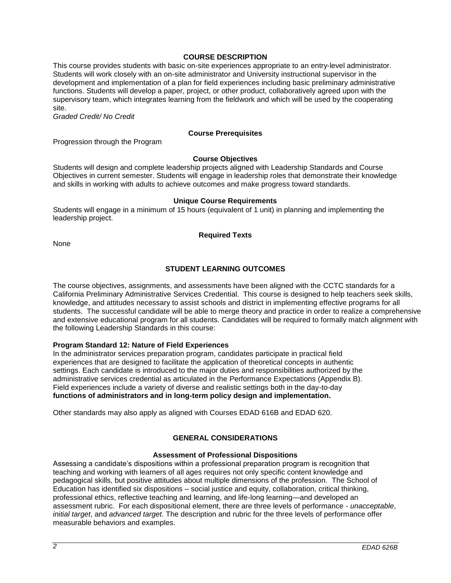# **COURSE DESCRIPTION**

This course provides students with basic on-site experiences appropriate to an entry-level administrator. Students will work closely with an on-site administrator and University instructional supervisor in the development and implementation of a plan for field experiences including basic preliminary administrative functions. Students will develop a paper, project, or other product, collaboratively agreed upon with the supervisory team, which integrates learning from the fieldwork and which will be used by the cooperating site.

*Graded Credit/ No Credit*

### **Course Prerequisites**

Progression through the Program

#### **Course Objectives**

Students will design and complete leadership projects aligned with Leadership Standards and Course Objectives in current semester. Students will engage in leadership roles that demonstrate their knowledge and skills in working with adults to achieve outcomes and make progress toward standards.

#### **Unique Course Requirements**

Students will engage in a minimum of 15 hours (equivalent of 1 unit) in planning and implementing the leadership project.

#### **Required Texts**

None

# **STUDENT LEARNING OUTCOMES**

The course objectives, assignments, and assessments have been aligned with the CCTC standards for a California Preliminary Administrative Services Credential. This course is designed to help teachers seek skills, knowledge, and attitudes necessary to assist schools and district in implementing effective programs for all students. The successful candidate will be able to merge theory and practice in order to realize a comprehensive and extensive educational program for all students. Candidates will be required to formally match alignment with the following Leadership Standards in this course:

### **Program Standard 12: Nature of Field Experiences**

In the administrator services preparation program, candidates participate in practical field experiences that are designed to facilitate the application of theoretical concepts in authentic settings. Each candidate is introduced to the major duties and responsibilities authorized by the administrative services credential as articulated in the Performance Expectations (Appendix B). Field experiences include a variety of diverse and realistic settings both in the day-to-day **functions of administrators and in long-term policy design and implementation.**

Other standards may also apply as aligned with Courses EDAD 616B and EDAD 620.

# **GENERAL CONSIDERATIONS**

# **Assessment of Professional Dispositions**

Assessing a candidate's dispositions within a professional preparation program is recognition that teaching and working with learners of all ages requires not only specific content knowledge and pedagogical skills, but positive attitudes about multiple dimensions of the profession. The School of Education has identified six dispositions – social justice and equity, collaboration, critical thinking, professional ethics, reflective teaching and learning, and life-long learning—and developed an assessment rubric. For each dispositional element, there are three levels of performance - *unacceptable*, *initial target*, and *advanced target*. The description and rubric for the three levels of performance offer measurable behaviors and examples.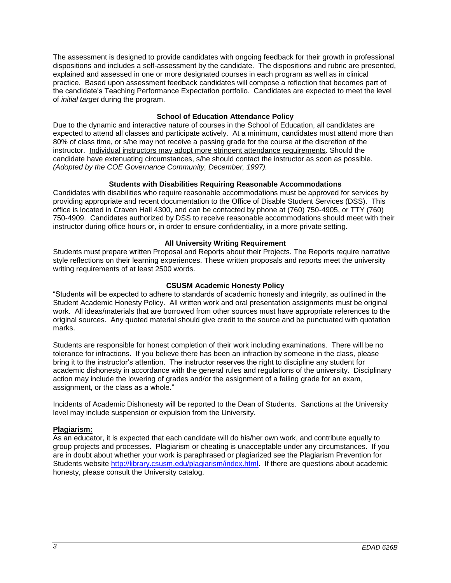The assessment is designed to provide candidates with ongoing feedback for their growth in professional dispositions and includes a self-assessment by the candidate. The dispositions and rubric are presented, explained and assessed in one or more designated courses in each program as well as in clinical practice. Based upon assessment feedback candidates will compose a reflection that becomes part of the candidate's Teaching Performance Expectation portfolio. Candidates are expected to meet the level of *initial target* during the program.

## **School of Education Attendance Policy**

Due to the dynamic and interactive nature of courses in the School of Education, all candidates are expected to attend all classes and participate actively. At a minimum, candidates must attend more than 80% of class time, or s/he may not receive a passing grade for the course at the discretion of the instructor. Individual instructors may adopt more stringent attendance requirements. Should the candidate have extenuating circumstances, s/he should contact the instructor as soon as possible. *(Adopted by the COE Governance Community, December, 1997).*

## **Students with Disabilities Requiring Reasonable Accommodations**

Candidates with disabilities who require reasonable accommodations must be approved for services by providing appropriate and recent documentation to the Office of Disable Student Services (DSS). This office is located in Craven Hall 4300, and can be contacted by phone at (760) 750-4905, or TTY (760) 750-4909. Candidates authorized by DSS to receive reasonable accommodations should meet with their instructor during office hours or, in order to ensure confidentiality, in a more private setting.

## **All University Writing Requirement**

Students must prepare written Proposal and Reports about their Projects. The Reports require narrative style reflections on their learning experiences. These written proposals and reports meet the university writing requirements of at least 2500 words.

## **CSUSM Academic Honesty Policy**

"Students will be expected to adhere to standards of academic honesty and integrity, as outlined in the Student Academic Honesty Policy. All written work and oral presentation assignments must be original work. All ideas/materials that are borrowed from other sources must have appropriate references to the original sources. Any quoted material should give credit to the source and be punctuated with quotation marks.

Students are responsible for honest completion of their work including examinations. There will be no tolerance for infractions. If you believe there has been an infraction by someone in the class, please bring it to the instructor's attention. The instructor reserves the right to discipline any student for academic dishonesty in accordance with the general rules and regulations of the university. Disciplinary action may include the lowering of grades and/or the assignment of a failing grade for an exam, assignment, or the class as a whole."

Incidents of Academic Dishonesty will be reported to the Dean of Students. Sanctions at the University level may include suspension or expulsion from the University.

### **Plagiarism:**

As an educator, it is expected that each candidate will do his/her own work, and contribute equally to group projects and processes. Plagiarism or cheating is unacceptable under any circumstances. If you are in doubt about whether your work is paraphrased or plagiarized see the Plagiarism Prevention for Students website [http://library.csusm.edu/plagiarism/index.html.](http://library.csusm.edu/plagiarism/index.html) If there are questions about academic honesty, please consult the University catalog.